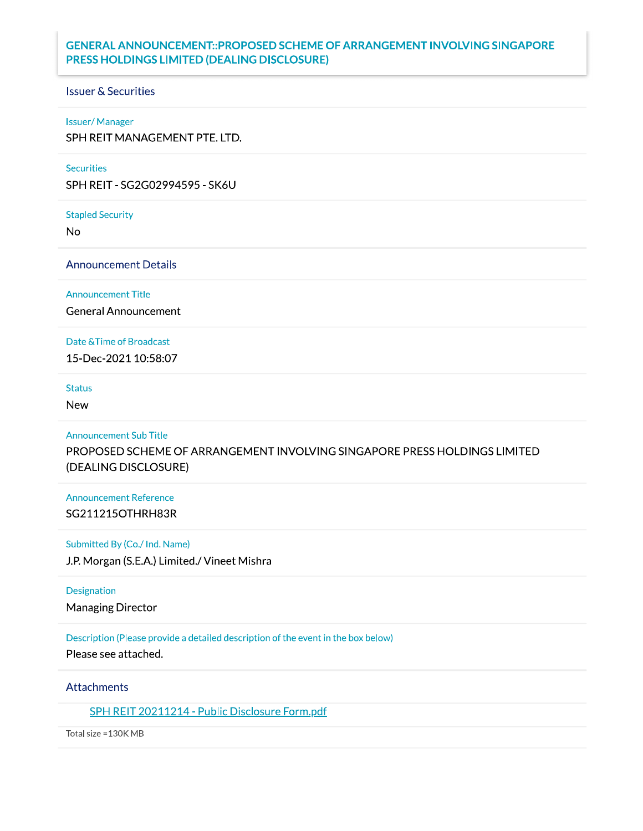# **GENERAL ANNOUNCEMENT::PROPOSED SCHEME OF ARRANGEMENT INVOLVING SINGAPORE** PRESS HOLDINGS LIMITED (DEALING DISCLOSURE)

#### **Issuer & Securities**

#### **Issuer/Manager**

SPH REIT MANAGEMENT PTE. LTD.

#### Securities

SPH REIT - SG2G02994595 - SK6U

**Stapled Security** 

**No** 

**Announcement Details** 

**Announcement Title** 

**General Announcement** 

Date & Time of Broadcast

15-Dec-2021 10:58:07

**Status** 

**New** 

**Announcement Sub Title** 

PROPOSED SCHEME OF ARRANGEMENT INVOLVING SINGAPORE PRESS HOLDINGS LIMITED (DEALING DISCLOSURE)

**Announcement Reference** SG211215OTHRH83R

Submitted By (Co./ Ind. Name)

J.P. Morgan (S.E.A.) Limited./ Vineet Mishra

Designation Managing Director

Description (Please provide a detailed description of the event in the box below)

Please see attached.

### **Attachments**

SPH REIT 20211214 - Public Disclosure Form.pdf

Total size = 130K MB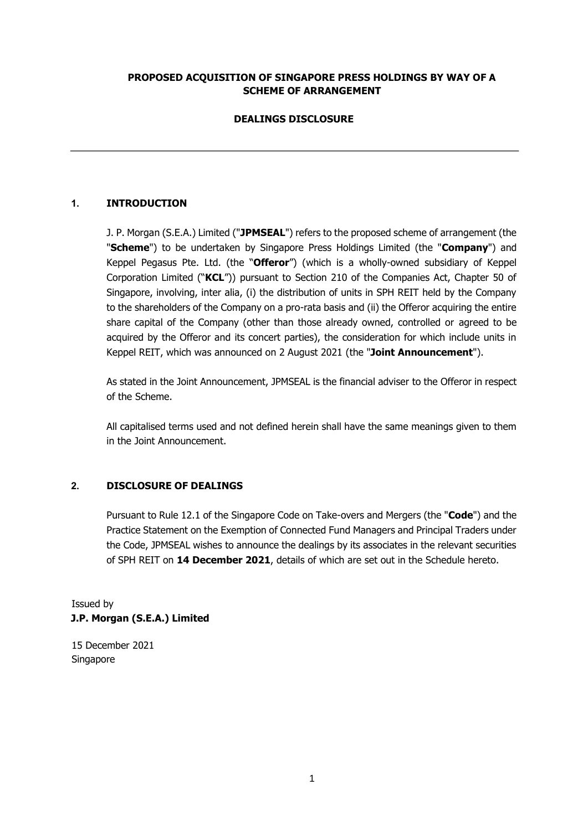## **PROPOSED ACQUISITION OF SINGAPORE PRESS HOLDINGS BY WAY OF A SCHEME OF ARRANGEMENT**

# **DEALINGS DISCLOSURE**

# **1. INTRODUCTION**

J. P. Morgan (S.E.A.) Limited ("**JPMSEAL**") refers to the proposed scheme of arrangement (the "**Scheme**") to be undertaken by Singapore Press Holdings Limited (the "**Company**") and Keppel Pegasus Pte. Ltd. (the "**Offeror**") (which is a wholly-owned subsidiary of Keppel Corporation Limited ("**KCL**")) pursuant to Section 210 of the Companies Act, Chapter 50 of Singapore, involving, inter alia, (i) the distribution of units in SPH REIT held by the Company to the shareholders of the Company on a pro-rata basis and (ii) the Offeror acquiring the entire share capital of the Company (other than those already owned, controlled or agreed to be acquired by the Offeror and its concert parties), the consideration for which include units in Keppel REIT, which was announced on 2 August 2021 (the "**Joint Announcement**").

As stated in the Joint Announcement, JPMSEAL is the financial adviser to the Offeror in respect of the Scheme.

All capitalised terms used and not defined herein shall have the same meanings given to them in the Joint Announcement.

### **2. DISCLOSURE OF DEALINGS**

Pursuant to Rule 12.1 of the Singapore Code on Take-overs and Mergers (the "**Code**") and the Practice Statement on the Exemption of Connected Fund Managers and Principal Traders under the Code, JPMSEAL wishes to announce the dealings by its associates in the relevant securities of SPH REIT on **14 December 2021**, details of which are set out in the Schedule hereto.

Issued by **J.P. Morgan (S.E.A.) Limited** 

15 December 2021 Singapore